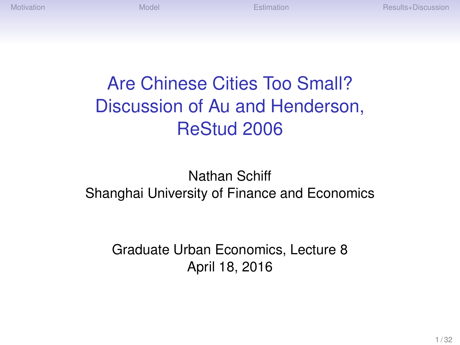# Are Chinese Cities Too Small? Discussion of Au and Henderson, ReStud 2006

#### Nathan Schiff Shanghai University of Finance and Economics

Graduate Urban Economics, Lecture 8 April 18, 2016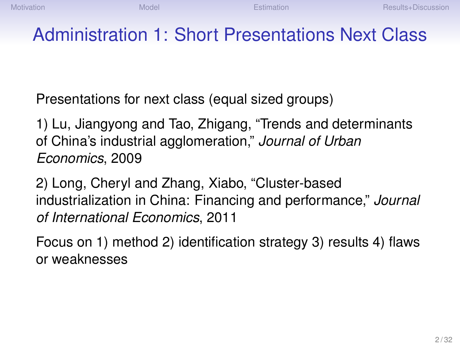## Administration 1: Short Presentations Next Class

Presentations for next class (equal sized groups)

1) Lu, Jiangyong and Tao, Zhigang, "Trends and determinants of China's industrial agglomeration," *Journal of Urban Economics*, 2009

2) Long, Cheryl and Zhang, Xiabo, "Cluster-based industrialization in China: Financing and performance," *Journal of International Economics*, 2011

Focus on 1) method 2) identification strategy 3) results 4) flaws or weaknesses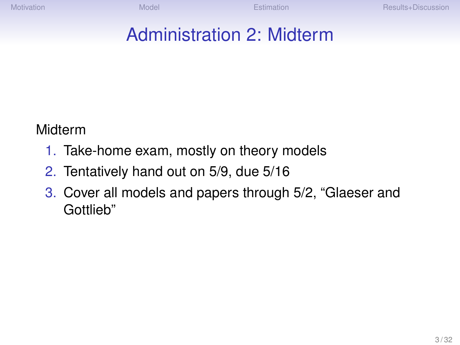## Administration 2: Midterm

Midterm

- 1. Take-home exam, mostly on theory models
- 2. Tentatively hand out on 5/9, due 5/16
- 3. Cover all models and papers through 5/2, "Glaeser and Gottlieb"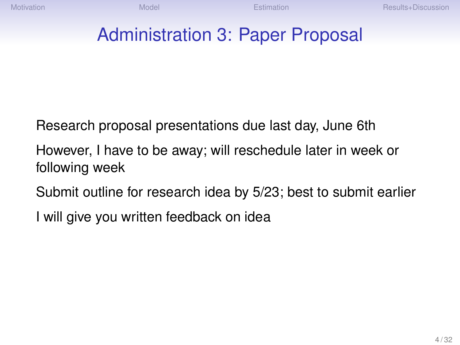#### Administration 3: Paper Proposal

Research proposal presentations due last day, June 6th

However, I have to be away; will reschedule later in week or following week

Submit outline for research idea by 5/23; best to submit earlier

I will give you written feedback on idea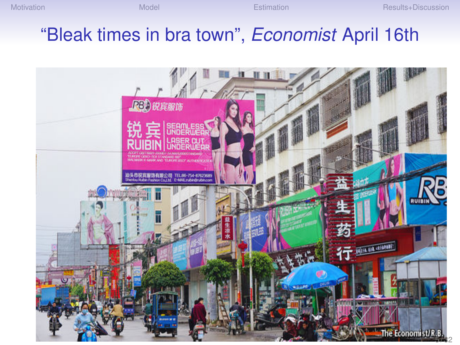#### "Bleak times in bra town", *Economist* April 16th

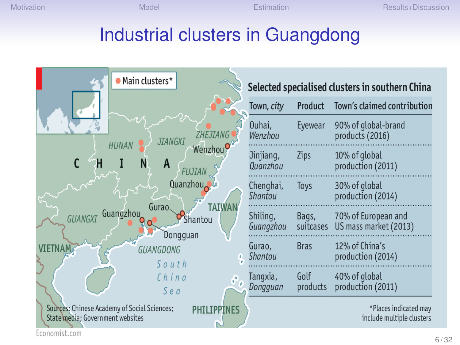#### Industrial clusters in Guangdong



Economist.com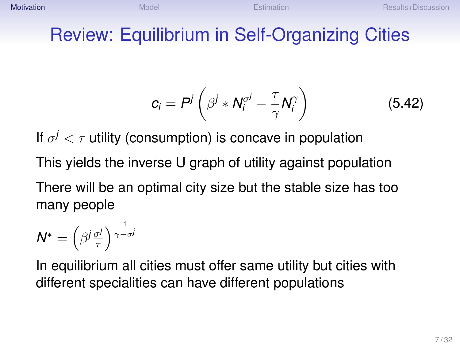#### <span id="page-6-0"></span>Review: Equilibrium in Self-Organizing Cities

$$
c_i = P^j \left( \beta^j * N_i^{\sigma^j} - \frac{\tau}{\gamma} N_i^{\gamma} \right) \tag{5.42}
$$

If  $\sigma^j < \tau$  utility (consumption) is concave in population This yields the inverse U graph of utility against population

There will be an optimal city size but the stable size has too many people

$$
N^* = \left(\beta^j \frac{\sigma^j}{\tau}\right)^{\frac{1}{\gamma - \sigma^j}}
$$

In equilibrium all cities must offer same utility but cities with different specialities can have different populations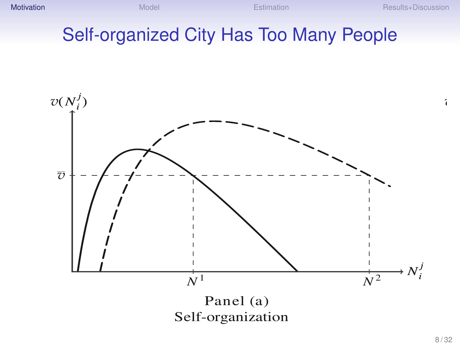**[Motivation](#page-6-0) Results+Discussion [Model](#page-10-0) Motivation [Results+Discussion](#page-23-0)** Results+Discussion

#### Self-organized City Has Too Many People The Growth of Cities 809



*v*(*N <sup>j</sup>*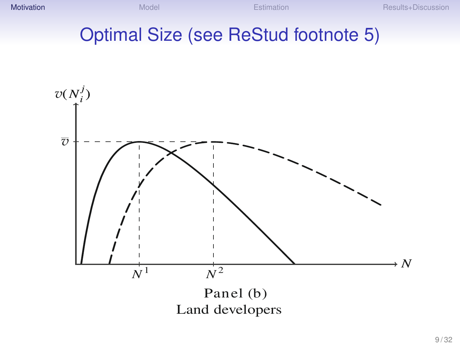**[Motivation](#page-6-0) Results+Discussion [Model](#page-10-0) Motivation [Results+Discussion](#page-23-0)** Results+Discussion

# Optimal Size (see ReStud footnote 5)

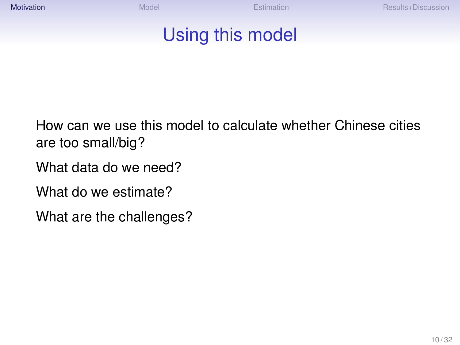### Using this model

How can we use this model to calculate whether Chinese cities are too small/big?

What data do we need?

What do we estimate?

What are the challenges?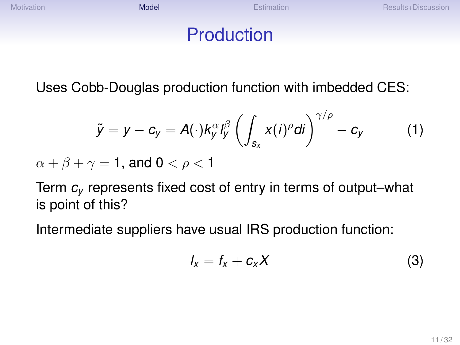<span id="page-10-0"></span>[Motivation](#page-6-0) Results+Discussion [Model](#page-10-0) Motivation [Results+Discussion](#page-23-0)

#### Production

Uses Cobb-Douglas production function with imbedded CES:

$$
\tilde{y} = y - c_y = A(\cdot)k_y^{\alpha}l_y^{\beta}\left(\int_{s_x}x(i)^{\rho}di\right)^{\gamma/\rho} - c_y \qquad (1)
$$

 $\alpha + \beta + \gamma = 1$ , and  $0 < \rho < 1$ 

Term *c<sup>y</sup>* represents fixed cost of entry in terms of output–what is point of this?

Intermediate suppliers have usual IRS production function:

$$
I_x = f_x + c_x X \tag{3}
$$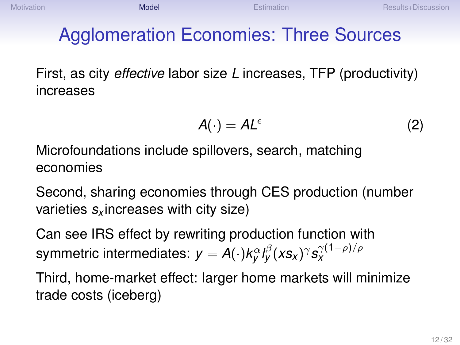# Agglomeration Economies: Three Sources

First, as city *effective* labor size *L* increases, TFP (productivity) increases

$$
A(\cdot) = A L^{\epsilon} \tag{2}
$$

Microfoundations include spillovers, search, matching economies

Second, sharing economies through CES production (number varieties *s<sup>x</sup>* increases with city size)

Can see IRS effect by rewriting production function with symmetric intermediates:  $\mathsf{y} = \mathsf{A}(\cdot)k_{\mathsf{y}}^{\alpha} l_{\mathsf{y}}^{\beta}(\mathsf{x} \mathsf{s}_{\mathsf{x}})^{\gamma} \mathsf{s}_{\mathsf{x}}^{\gamma(1-\rho)/\rho}$ 

Third, home-market effect: larger home markets will minimize trade costs (iceberg)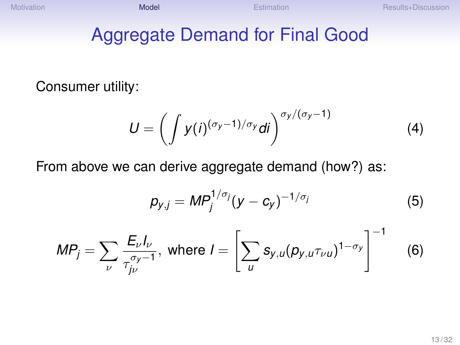#### Aggregate Demand for Final Good

Consumer utility:

$$
U = \left(\int y(i)^{(\sigma_y - 1)/\sigma_y} di\right)^{\sigma_y/(\sigma_y - 1)}
$$
(4)

From above we can derive aggregate demand (how?) as:

$$
p_{y,j} = MP_j^{1/\sigma_j} (y - c_y)^{-1/\sigma_j}
$$
 (5)

$$
MP_j = \sum_{\nu} \frac{E_{\nu} I_{\nu}}{\tau_{j\nu}^{\sigma_{\nu}-1}}, \text{ where } I = \left[\sum_{u} s_{y,u} (p_{y,u} \tau_{\nu u})^{1-\sigma_y}\right]^{-1} \quad (6)
$$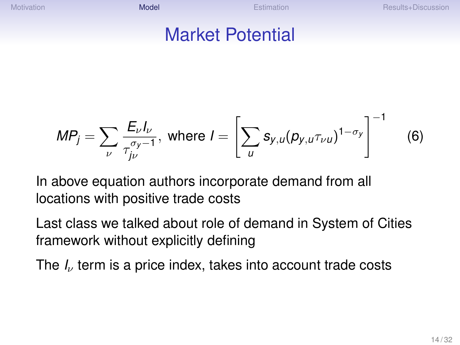[Motivation](#page-6-0) Results+Discussion [Model](#page-10-0) Motivation [Results+Discussion](#page-23-0)

#### Market Potential

$$
MP_j = \sum_{\nu} \frac{E_{\nu} I_{\nu}}{\tau_{j\nu}^{\sigma_{\nu}-1}}, \text{ where } I = \left[\sum_{u} s_{y,u} (p_{y,u} \tau_{\nu u})^{1-\sigma_{\nu}}\right]^{-1}
$$
(6)

In above equation authors incorporate demand from all locations with positive trade costs

Last class we talked about role of demand in System of Cities framework without explicitly defining

The *I<sub>v</sub>* term is a price index, takes into account trade costs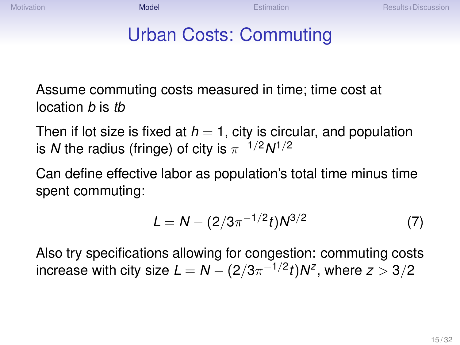# Urban Costs: Commuting

Assume commuting costs measured in time; time cost at location *b* is *tb*

Then if lot size is fixed at  $h = 1$ , city is circular, and population is  $N$  the radius (fringe) of city is  $\pi^{-1/2} N^{1/2}$ 

Can define effective labor as population's total time minus time spent commuting:

$$
L = N - (2/3\pi^{-1/2}t)N^{3/2}
$$
 (7)

Also try specifications allowing for congestion: commuting costs increase with city size  $L = N - (2/3\pi^{-1/2}t)N^z,$  where  $z>3/2$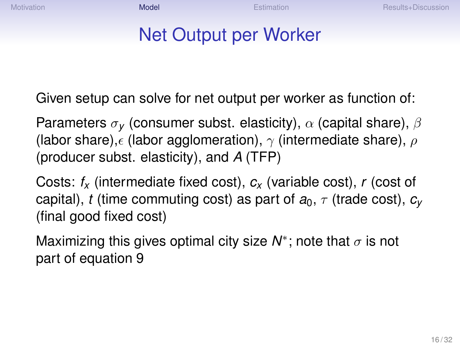#### Net Output per Worker

Given setup can solve for net output per worker as function of:

Parameters σ*<sup>y</sup>* (consumer subst. elasticity), α (capital share), β (labor share),  $\epsilon$  (labor agglomeration),  $\gamma$  (intermediate share),  $\rho$ (producer subst. elasticity), and *A* (TFP)

Costs: *f<sup>x</sup>* (intermediate fixed cost), *c<sup>x</sup>* (variable cost), *r* (cost of capital), *t* (time commuting cost) as part of  $a_0$ ,  $\tau$  (trade cost),  $c_v$ (final good fixed cost)

Maximizing this gives optimal city size  $N^*$ ; note that  $\sigma$  is not part of equation 9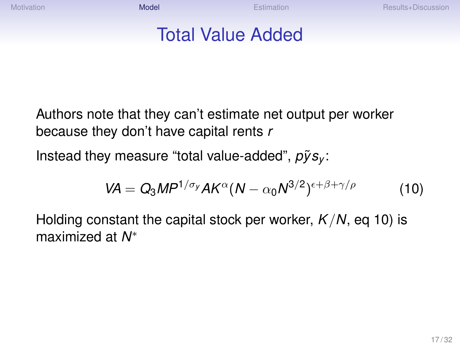#### Total Value Added

Authors note that they can't estimate net output per worker because they don't have capital rents *r*

Instead they measure "total value-added",  $\tilde{p} \tilde{y} s_{\nu}$ :

$$
VA = Q_3 M P^{1/\sigma_y} AK^{\alpha}(N - \alpha_0 N^{3/2})^{\epsilon + \beta + \gamma/\rho}
$$
 (10)

Holding constant the capital stock per worker, *K*/*N*, eq 10) is maximized at *N* ∗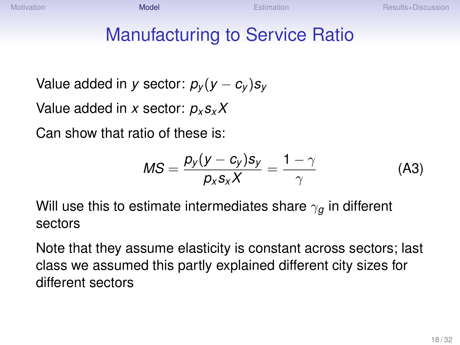[Motivation](#page-6-0) Results+Discussion [Model](#page-10-0) Motivation [Results+Discussion](#page-23-0)

### Manufacturing to Service Ratio

Value added in *y* sector:  $p_v(y - c_v)s_v$ 

Value added in *x* sector: *p<sup>x</sup> sxX*

Can show that ratio of these is:

$$
MS = \frac{p_y(y - c_y)s_y}{p_x s_x X} = \frac{1 - \gamma}{\gamma}
$$
 (A3)

Will use this to estimate intermediates share  $\gamma_q$  in different sectors

Note that they assume elasticity is constant across sectors; last class we assumed this partly explained different city sizes for different sectors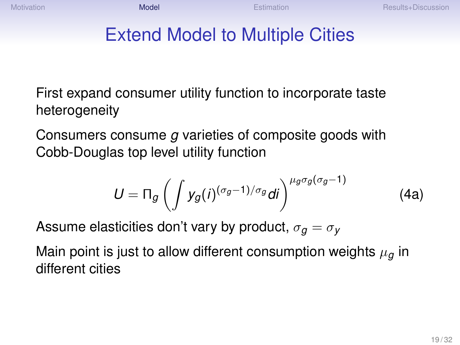# Extend Model to Multiple Cities

First expand consumer utility function to incorporate taste heterogeneity

Consumers consume *g* varieties of composite goods with Cobb-Douglas top level utility function

$$
U = \Pi_g \left( \int y_g(i)^{(\sigma_g - 1)/\sigma_g} di \right)^{\mu_g \sigma_g(\sigma_g - 1)}
$$
(4a)

Assume elasticities don't vary by product,  $\sigma_q = \sigma_V$ 

Main point is just to allow different consumption weights  $\mu_q$  in different cities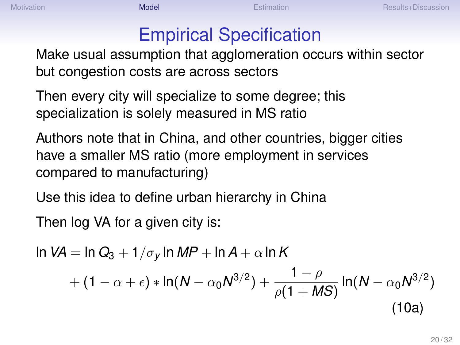## Empirical Specification

Make usual assumption that agglomeration occurs within sector but congestion costs are across sectors

Then every city will specialize to some degree; this specialization is solely measured in MS ratio

Authors note that in China, and other countries, bigger cities have a smaller MS ratio (more employment in services compared to manufacturing)

Use this idea to define urban hierarchy in China

Then log VA for a given city is:

$$
\ln VA = \ln Q_3 + 1/\sigma_y \ln MP + \ln A + \alpha \ln K + (1 - \alpha + \epsilon) * \ln(N - \alpha_0 N^{3/2}) + \frac{1 - \rho}{\rho (1 + MS)} \ln(N - \alpha_0 N^{3/2})
$$
\n(10a)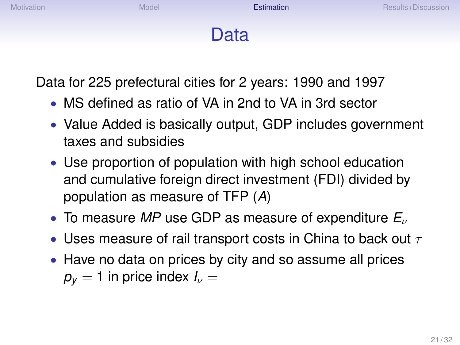# Data

<span id="page-20-0"></span>Data for 225 prefectural cities for 2 years: 1990 and 1997

- MS defined as ratio of VA in 2nd to VA in 3rd sector
- Value Added is basically output, GDP includes government taxes and subsidies
- Use proportion of population with high school education and cumulative foreign direct investment (FDI) divided by population as measure of TFP (*A*)
- To measure *MP* use GDP as measure of expenditure *E*<sup>ν</sup>
- Uses measure of rail transport costs in China to back out  $\tau$
- Have no data on prices by city and so assume all prices  $p_v = 1$  in price index  $I_v =$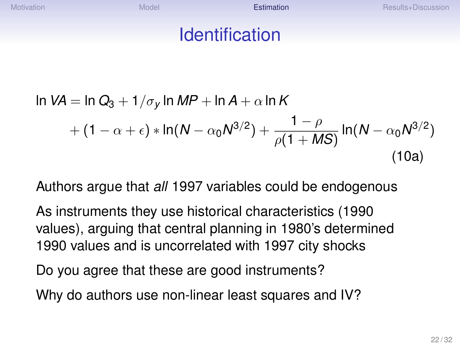[Motivation](#page-6-0) Results+Discussion [Model](#page-10-0) Motel Esti**mation [Results+Discussion](#page-23-0)** Results+Discussion

#### Identification

$$
\ln VA = \ln Q_3 + 1/\sigma_y \ln MP + \ln A + \alpha \ln K + (1 - \alpha + \epsilon) * \ln(N - \alpha_0 N^{3/2}) + \frac{1 - \rho}{\rho (1 + MS)} \ln(N - \alpha_0 N^{3/2})
$$
\n(10a)

Authors argue that *all* 1997 variables could be endogenous

As instruments they use historical characteristics (1990 values), arguing that central planning in 1980's determined 1990 values and is uncorrelated with 1997 city shocks

Do you agree that these are good instruments?

Why do authors use non-linear least squares and IV?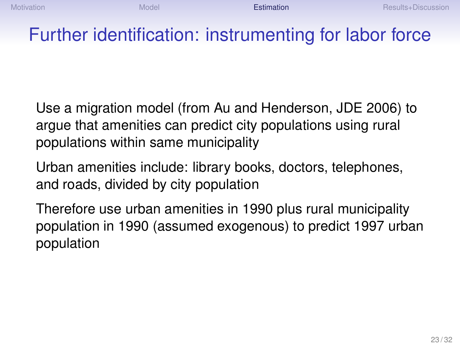#### Further identification: instrumenting for labor force

Use a migration model (from Au and Henderson, JDE 2006) to argue that amenities can predict city populations using rural populations within same municipality

Urban amenities include: library books, doctors, telephones, and roads, divided by city population

Therefore use urban amenities in 1990 plus rural municipality population in 1990 (assumed exogenous) to predict 1997 urban population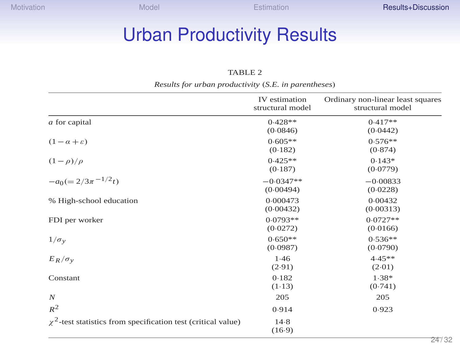# <span id="page-23-0"></span>Urban Productivity Results

#### TABLE 2

| Results for urban productivity (S.E. in parentheses) |                                   |                                                       |  |  |  |  |  |
|------------------------------------------------------|-----------------------------------|-------------------------------------------------------|--|--|--|--|--|
|                                                      | IV estimation<br>structural model | Ordinary non-linear least squares<br>structural model |  |  |  |  |  |
| a for capital                                        | $0.428**$<br>(0.0846)             | $0.417**$<br>(0.0442)                                 |  |  |  |  |  |
| $(1 - \alpha + \varepsilon)$                         | $0.605**$<br>(0.182)              | $0.576**$<br>(0.874)                                  |  |  |  |  |  |
| $(1-\rho)/\rho$                                      | $0.425**$<br>(0.187)              | $0.143*$<br>(0.0779)                                  |  |  |  |  |  |
| $-a_0 (= 2/3\pi^{-1/2}t)$                            | $-0.0347**$<br>(0.00494)          | $-0.00833$<br>(0.0228)                                |  |  |  |  |  |
| % High-school education                              | 0.000473<br>(0.00432)             | 0.00432<br>(0.00313)                                  |  |  |  |  |  |
| FDI per worker                                       | $0.0793**$<br>(0.0272)            | $0.0727**$<br>(0.0166)                                |  |  |  |  |  |
| $1/\sigma_v$                                         | $0.650**$<br>(0.0987)             | $0.536**$<br>(0.0790)                                 |  |  |  |  |  |
| $E_R/\sigma_v$                                       | 1.46<br>(2.91)                    | $4.45**$<br>(2.01)                                    |  |  |  |  |  |
| Constant                                             | 0.182<br>(1.13)                   | $1.38*$<br>(0.741)                                    |  |  |  |  |  |
| $\boldsymbol{N}$                                     | 205                               | 205                                                   |  |  |  |  |  |
| $R^2$                                                | 0.914                             | 0.923                                                 |  |  |  |  |  |

 $\chi^2$ -test statistics from specification test (critical value) 14.8 (16·9)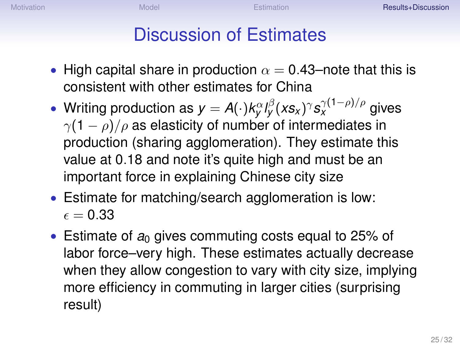[Motivation](#page-6-0) **[Results+Discussion](#page-23-0)** [Model](#page-10-0) Model [Estimation](#page-20-0) **Extendion** Results+Discussion

### Discussion of Estimates

- High capital share in production  $\alpha = 0.43$ –note that this is consistent with other estimates for China
- Writing production as  $y = A(\cdot)k^{\alpha}_{y}l^{\beta}_{y}(xs_{x})^{\gamma}s^{\gamma(1-\rho)/\rho}_{x}$  gives  $\gamma(1-\rho)/\rho$  as elasticity of number of intermediates in production (sharing agglomeration). They estimate this value at 0.18 and note it's quite high and must be an important force in explaining Chinese city size
- Estimate for matching/search agglomeration is low:  $\epsilon = 0.33$
- Estimate of  $a_0$  gives commuting costs equal to 25% of labor force–very high. These estimates actually decrease when they allow congestion to vary with city size, implying more efficiency in commuting in larger cities (surprising result)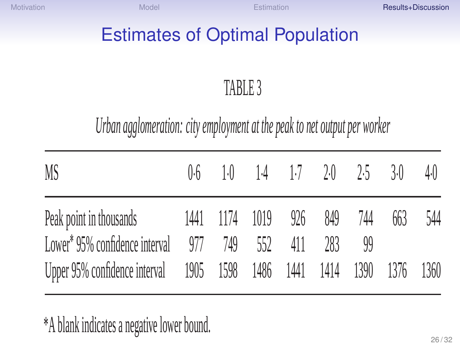[Motivation](#page-6-0) **[Results+Discussion](#page-23-0)** [Model](#page-10-0) Model Estimation **Extendion** Results+Discussion

## Estimates of Optimal Population

# TABLE 3

# *Urban agglomeration: city employment at the peak to net output per worker*

| MS                                                                    |  | $0.6$ 1.0 1.4 1.7 2.0 2.5 |     |     | 3(  | 4.0 |
|-----------------------------------------------------------------------|--|---------------------------|-----|-----|-----|-----|
| Peak point in thousands 1441 1174 1019 926 849                        |  |                           |     | 744 | 663 | 544 |
| Lower* $95\%$ confidence interval $977$ $749$ $552$ 411               |  |                           | 283 |     |     |     |
| Upper 95% confidence interval 1905 1598 1486 1441 1414 1390 1376 1360 |  |                           |     |     |     |     |

\*A blank indicates a negative lower bound.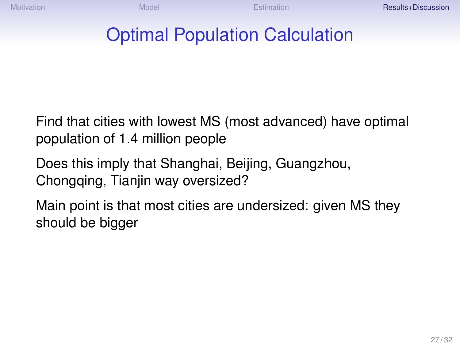[Motivation](#page-6-0) **[Results+Discussion](#page-23-0)** [Model](#page-10-0) Model [Estimation](#page-20-0) **Extendion** Results+Discussion

#### Optimal Population Calculation

Find that cities with lowest MS (most advanced) have optimal population of 1.4 million people

Does this imply that Shanghai, Beijing, Guangzhou, Chongqing, Tianjin way oversized?

Main point is that most cities are undersized: given MS they should be bigger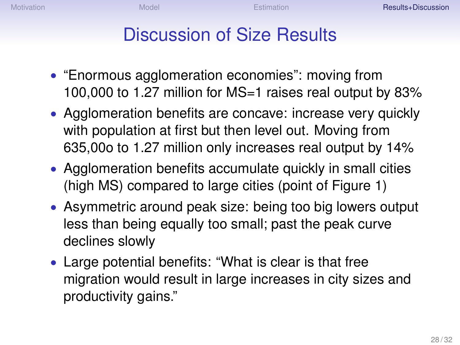#### Discussion of Size Results

- "Enormous agglomeration economies": moving from 100,000 to 1.27 million for MS=1 raises real output by 83%
- Agglomeration benefits are concave: increase very quickly with population at first but then level out. Moving from 635,00o to 1.27 million only increases real output by 14%
- Agglomeration benefits accumulate quickly in small cities (high MS) compared to large cities (point of Figure 1)
- Asymmetric around peak size: being too big lowers output less than being equally too small; past the peak curve declines slowly
- Large potential benefits: "What is clear is that free migration would result in large increases in city sizes and productivity gains."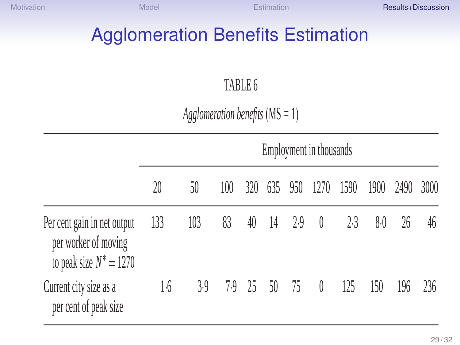[Motivation](#page-6-0) **[Results+Discussion](#page-23-0)** [Model](#page-10-0) Model [Estimation](#page-20-0) **Extendion** Results+Discussion

# **Agglomeration Benefits Estimation**

#### TABLE 6

*Agglomeration benefits* (MS *=* 1)

|                                                                                  | Employment in thousands |     |     |     |              |          |                  |      |      |      |      |
|----------------------------------------------------------------------------------|-------------------------|-----|-----|-----|--------------|----------|------------------|------|------|------|------|
|                                                                                  | 20                      | 50  | 100 | 320 |              | 635 950  | 1270             | 1590 | 1900 | 2490 | 3000 |
| Per cent gain in net output<br>per worker of moving<br>to peak size $N^* = 1270$ | 133                     | 103 | 83  | 40  |              | 14 2.9 0 |                  | 2.3  | 8.0  | 26   | 46   |
| Current city size as a<br>per cent of peak size                                  | 1·6                     | 3.9 |     |     | 7.9 25 50 75 |          | $\left( \right)$ | 125  | 150  | 196  | 236  |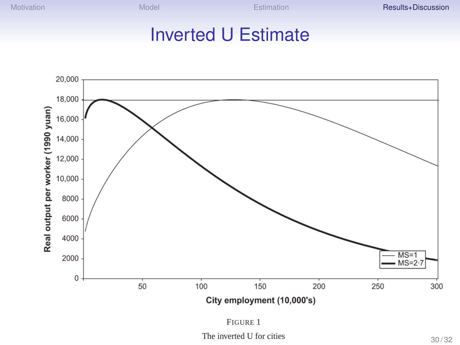[Motivation](#page-6-0) **[Results+Discussion](#page-23-0)** [Model](#page-10-0) Model [Estimation](#page-20-0) **Extendion** Results+Discussion

#### Inverted U Estimate



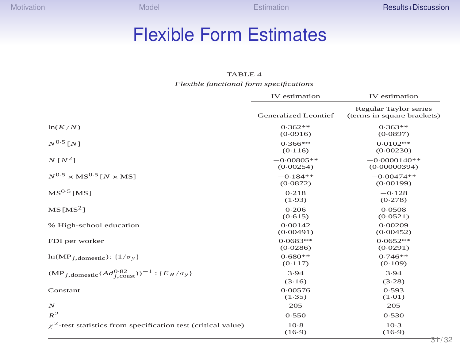#### Flexible Form Estimates

#### TABLE 4

*Flexible functional form specifications*

|                                                                                  | IV estimation             | IV estimation                                       |  |  |
|----------------------------------------------------------------------------------|---------------------------|-----------------------------------------------------|--|--|
|                                                                                  | Generalized Leontief      | Regular Taylor series<br>(terms in square brackets) |  |  |
| ln(K/N)                                                                          | $0.362**$<br>(0.0916)     | $0.363**$<br>(0.0897)                               |  |  |
| $N^{0.5}$ [N]                                                                    | $0.366**$<br>(0.116)      | $0.0102**$<br>(0.00230)                             |  |  |
| $N[N^2]$                                                                         | $-0.00805**$<br>(0.00254) | $-0.0000140**$<br>(0.00000394)                      |  |  |
| $N^{0.5}$ × MS <sup>0.5</sup> $N \times$ MSJ                                     | $-0.184**$<br>(0.0872)    | $-0.00474**$<br>(0.00199)                           |  |  |
| $MS0.5$ [MS]                                                                     | 0.218<br>(1.93)           | $-0.128$<br>(0.278)                                 |  |  |
| $MS$ [MS <sup>2</sup> ]                                                          | 0.206<br>(0.615)          | 0.0508<br>(0.0521)                                  |  |  |
| % High-school education                                                          | 0.00142<br>(0.00491)      | 0.00209<br>(0.00452)                                |  |  |
| FDI per worker                                                                   | $0.0683**$<br>(0.0286)    | $0.0652**$<br>(0.0291)                              |  |  |
| $ln(MP_{i,\text{domestic}}): \{1/\sigma_{y}\}\$                                  | $0.680**$<br>(0.117)      | $0.746**$<br>(0.109)                                |  |  |
| $(MP_{i,\text{domestic}}(Ad_{i\text{ const}}^{0.82}))^{-1}$ : $\{E_R/\sigma_y\}$ | 3.94<br>(3.16)            | 3.94<br>(3.28)                                      |  |  |
| Constant                                                                         | 0.00576<br>(1.35)         | 0.593<br>(1.01)                                     |  |  |
| $\boldsymbol{N}$                                                                 | 205                       | 205                                                 |  |  |
| $R^2$                                                                            | 0.550                     | 0.530                                               |  |  |
| $\chi^2$ -test statistics from specification test (critical value)               | $10-8$<br>(16.9)          | $10-3$<br>(16.9)<br>$\sim$ 4                        |  |  |